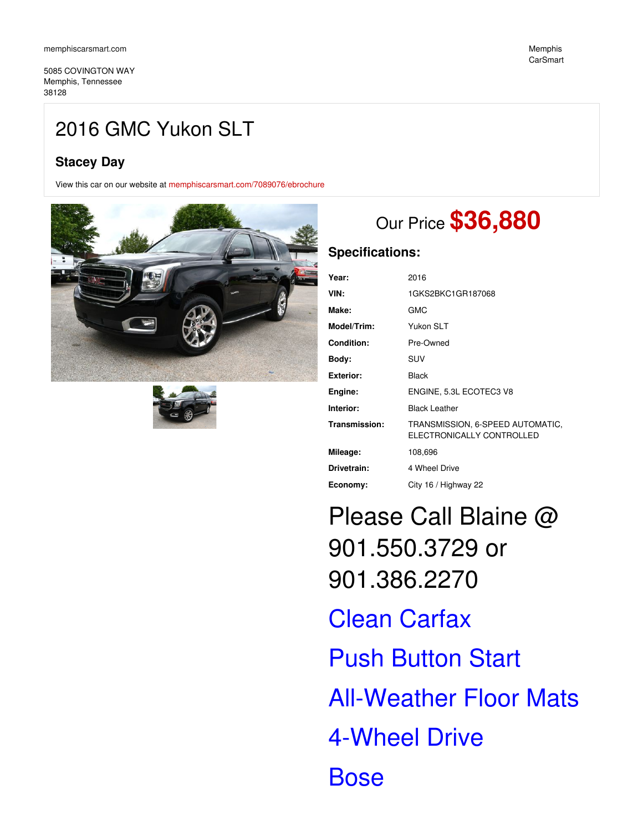5085 COVINGTON WAY Memphis, Tennessee 38128

# 2016 GMC Yukon SLT

### **Stacey Day**

View this car on our website at [memphiscarsmart.com/7089076/ebrochure](https://memphiscarsmart.com/vehicle/7089076/2016-gmc-yukon-slt-memphis-tennessee-38128/7089076/ebrochure)





# Our Price **\$36,880**

### **Specifications:**

| Year:            | 2016                                                          |
|------------------|---------------------------------------------------------------|
| VIN:             | 1GKS2BKC1GR187068                                             |
| Make:            | GMC                                                           |
| Model/Trim:      | Yukon SLT                                                     |
| Condition:       | Pre-Owned                                                     |
| Body:            | SUV                                                           |
| <b>Exterior:</b> | <b>Black</b>                                                  |
| Engine:          | ENGINE, 5.3L ECOTEC3 V8                                       |
| Interior:        | <b>Black Leather</b>                                          |
| Transmission:    | TRANSMISSION, 6-SPEED AUTOMATIC,<br>ELECTRONICALLY CONTROLLED |
| Mileage:         | 108,696                                                       |
| Drivetrain:      | 4 Wheel Drive                                                 |
| Economy:         | City 16 / Highway 22                                          |

Please Call Blaine @ 901.550.3729 or 901.386.2270

Clean Carfax **Push Button Start** All-Weather Floor Mats 4-Wheel Drive **Bose**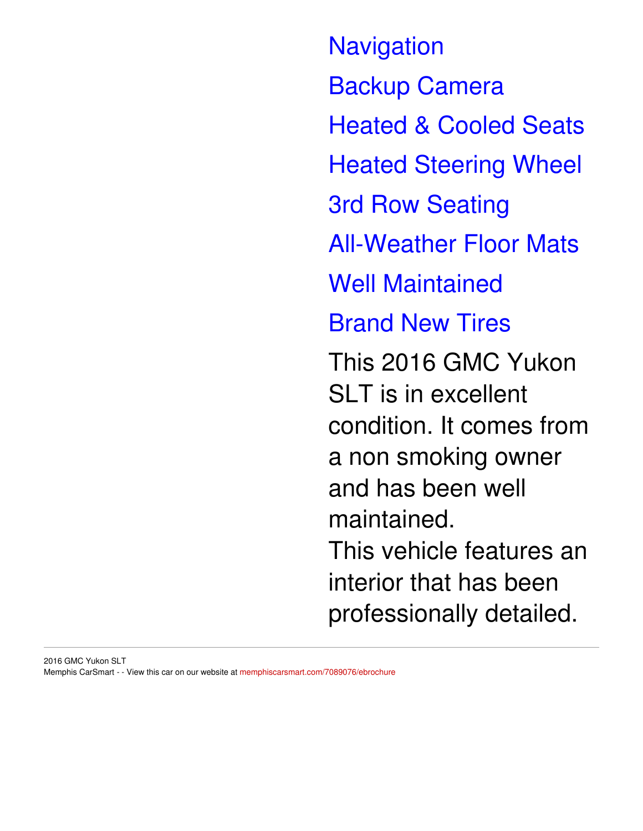**Navigation** Backup Camera Heated & Cooled Seats Heated Steering Wheel 3rd Row Seating All-Weather Floor Mats Well Maintained Brand New Tires This 2016 GMC Yukon SLT is in excellent condition. It comes from a non smoking owner and has been well maintained. This vehicle features an interior that has been professionally detailed.

2016 GMC Yukon SLT Memphis CarSmart - - View this car on our website at [memphiscarsmart.com/7089076/ebrochure](https://memphiscarsmart.com/vehicle/7089076/2016-gmc-yukon-slt-memphis-tennessee-38128/7089076/ebrochure)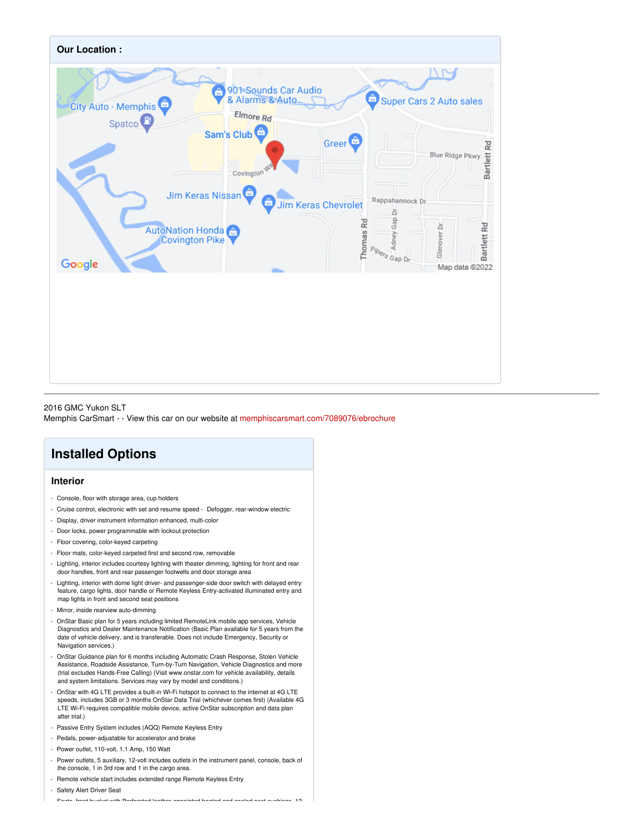

2016 GMC Yukon SLT Memphis CarSmart - - View this car on our website at [memphiscarsmart.com/7089076/ebrochure](https://memphiscarsmart.com/vehicle/7089076/2016-gmc-yukon-slt-memphis-tennessee-38128/7089076/ebrochure)

## **Installed Options**

#### **Interior**

- Console, floor with storage area, cup holders
- Cruise control, electronic with set and resume speed Defogger, rear-window electric
- Display, driver instrument information enhanced, multi-color
- Door locks, power programmable with lockout protection
- Floor covering, color-keyed carpeting
- Floor mats, color-keyed carpeted first and second row, removable
- Lighting, interior includes courtesy lighting with theater dimming, lighting for front and rear door handles, front and rear passenger footwells and door storage area
- Lighting, interior with dome light driver- and passenger-side door switch with delayed entry feature, cargo lights, door handle or Remote Keyless Entry-activated illuminated entry and map lights in front and second seat positions
- Mirror, inside rearview auto-dimming
- OnStar Basic plan for 5 years including limited RemoteLink mobile app services, Vehicle Diagnostics and Dealer Maintenance Notification (Basic Plan available for 5 years from the date of vehicle delivery, and is transferable. Does not include Emergency, Security or Navigation services.)
- OnStar Guidance plan for 6 months including Automatic Crash Response, Stolen Vehicle Assistance, Roadside Assistance, Turn-by-Turn Navigation, Vehicle Diagnostics and more (trial excludes Hands-Free Calling) (Visit www.onstar.com for vehicle availability, details and system limitations. Services may vary by model and conditions.)
- OnStar with 4G LTE provides a built-in Wi-Fi hotspot to connect to the internet at 4G LTE speeds, includes 3GB or 3 months OnStar Data Trial (whichever comes first) (Available 4G LTE Wi-Fi requires compatible mobile device, active OnStar subscription and data plan after trial.)
- Passive Entry System includes (AQQ) Remote Keyless Entry
- Pedals, power-adjustable for accelerator and brake
- Power outlet, 110-volt, 1.1 Amp, 150 Watt
- Power outlets, 5 auxiliary, 12-volt includes outlets in the instrument panel, console, back of the console, 1 in 3rd row and 1 in the cargo area.
- Remote vehicle start includes extended range Remote Keyless Entry

- Safety Alert Driver Seat

- Seats, front bucket with Perforated leather-appointed heated and cooled seat cushions, 12-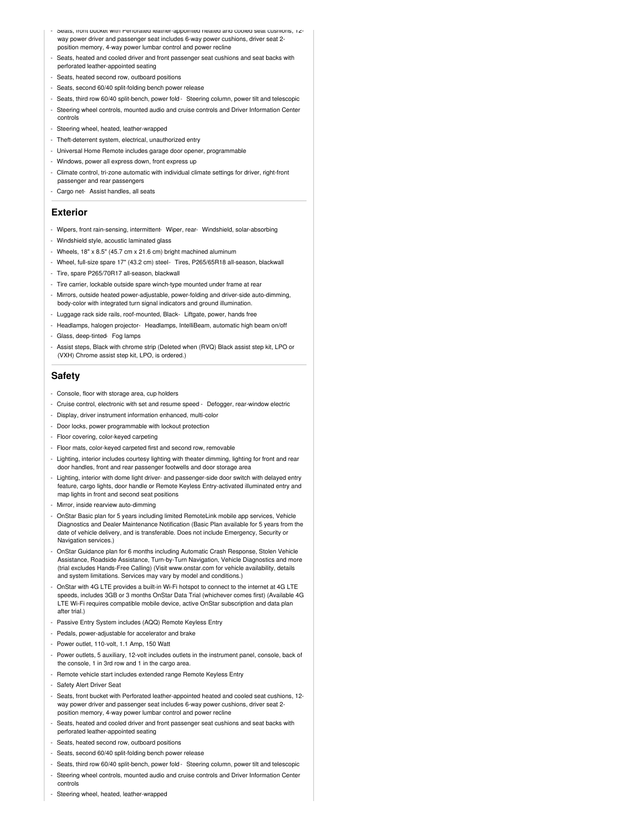- Seats, front bucket with Perforated leather-appointed heated and cooled seat cushions, 12 way power driver and passenger seat includes 6-way power cushions, driver seat 2 position memory, 4-way power lumbar control and power recline
- Seats, heated and cooled driver and front passenger seat cushions and seat backs with perforated leather-appointed seating
- Seats, heated second row, outboard positions
- Seats, second 60/40 split-folding bench power release
- Seats, third row 60/40 split-bench, power fold- Steering column, power tilt and telescopic
- Steering wheel controls, mounted audio and cruise controls and Driver Information Center controls
- Steering wheel, heated, leather-wrapped
- Theft-deterrent system, electrical, unauthorized entry
- Universal Home Remote includes garage door opener, programmable
- Windows, power all express down, front express up
- Climate control, tri-zone automatic with individual climate settings for driver, right-front passenger and rear passengers
- Cargo net- Assist handles, all seats

#### **Exterior**

- Wipers, front rain-sensing, intermittent- Wiper, rear- Windshield, solar-absorbing
- Windshield style, acoustic laminated glass
- Wheels, 18" x 8.5" (45.7 cm x 21.6 cm) bright machined aluminum
- Wheel, full-size spare 17" (43.2 cm) steel- Tires, P265/65R18 all-season, blackwall
- Tire, spare P265/70R17 all-season, blackwall
- Tire carrier, lockable outside spare winch-type mounted under frame at rear
- Mirrors, outside heated power-adjustable, power-folding and driver-side auto-dimming, body-color with integrated turn signal indicators and ground illumination.
- Luggage rack side rails, roof-mounted, Black- Liftgate, power, hands free
- Headlamps, halogen projector- Headlamps, IntelliBeam, automatic high beam on/off
- Glass, deep-tinted- Fog lamps
- Assist steps, Black with chrome strip (Deleted when (RVQ) Black assist step kit, LPO or (VXH) Chrome assist step kit, LPO, is ordered.)

#### **Safety**

- Console, floor with storage area, cup holders
- Cruise control, electronic with set and resume speed Defogger, rear-window electric
- Display, driver instrument information enhanced, multi-color
- Door locks, power programmable with lockout protection
- Floor covering, color-keyed carpeting
- Floor mats, color-keyed carpeted first and second row, removable
- Lighting, interior includes courtesy lighting with theater dimming, lighting for front and rear door handles, front and rear passenger footwells and door storage area
- Lighting, interior with dome light driver- and passenger-side door switch with delayed entry feature, cargo lights, door handle or Remote Keyless Entry-activated illuminated entry and map lights in front and second seat positions
- Mirror, inside rearview auto-dimming
- OnStar Basic plan for 5 years including limited RemoteLink mobile app services, Vehicle Diagnostics and Dealer Maintenance Notification (Basic Plan available for 5 years from the date of vehicle delivery, and is transferable. Does not include Emergency, Security or Navigation services.)
- OnStar Guidance plan for 6 months including Automatic Crash Response, Stolen Vehicle Assistance, Roadside Assistance, Turn-by-Turn Navigation, Vehicle Diagnostics and more (trial excludes Hands-Free Calling) (Visit www.onstar.com for vehicle availability, details and system limitations. Services may vary by model and conditions.)
- OnStar with 4G LTE provides a built-in Wi-Fi hotspot to connect to the internet at 4G LTE speeds, includes 3GB or 3 months OnStar Data Trial (whichever comes first) (Available 4G LTE Wi-Fi requires compatible mobile device, active OnStar subscription and data plan after trial.)
- Passive Entry System includes (AQQ) Remote Keyless Entry
- Pedals, power-adjustable for accelerator and brake
- Power outlet, 110-volt, 1.1 Amp, 150 Watt
- Power outlets, 5 auxiliary, 12-volt includes outlets in the instrument panel, console, back of the console, 1 in 3rd row and 1 in the cargo area.
- Remote vehicle start includes extended range Remote Keyless Entry
- Safety Alert Driver Seat
- Seats, front bucket with Perforated leather-appointed heated and cooled seat cushions, 12 way power driver and passenger seat includes 6-way power cushions, driver seat 2 position memory, 4-way power lumbar control and power recline
- Seats, heated and cooled driver and front passenger seat cushions and seat backs with perforated leather-appointed seating
- Seats, heated second row, outboard positions
- Seats, second 60/40 split-folding bench power release
- Seats, third row 60/40 split-bench, power fold- Steering column, power tilt and telescopic
- Steering wheel controls, mounted audio and cruise controls and Driver Information Center controls
- Steering wheel, heated, leather-wrapped